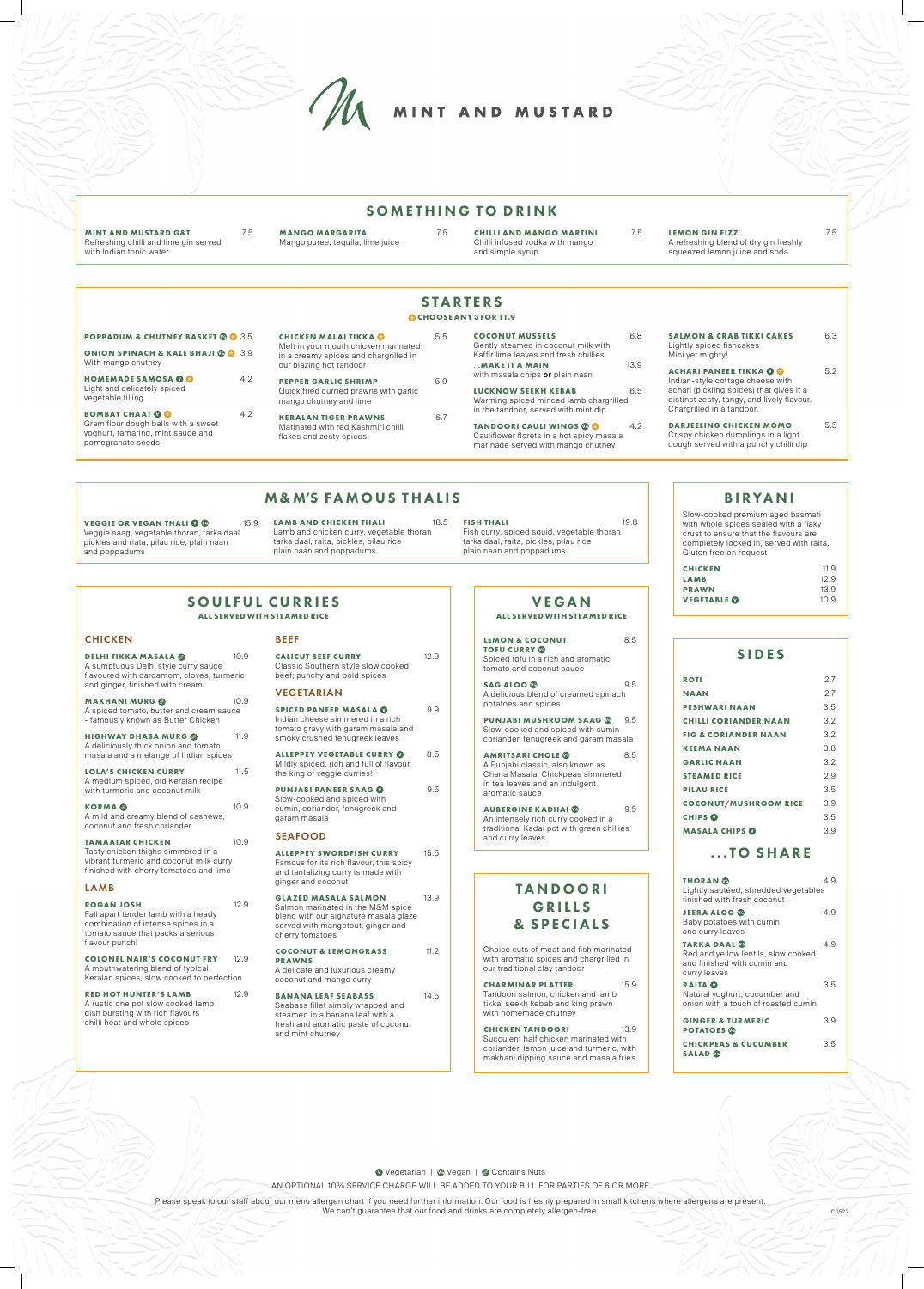AN OPTIONAL 10% SERVICE CHARGE WILL BE ADDED TO YOUR BILL FOR PARTIES OF 6 OR MORE

Please speak to our staff about our menu allergen chart if you need further information. Our food is freshly prepared in small kitchens where allergens are present. We can't guarantee that our food and drinks are completely allergen-free.

**THORAN**  $\bullet$  4.9 Lightly sautéed, shredded vegetables finished with fresh coconut **JEERA ALOO** 4.9 Baby potatoes with cumin

## SIDES

**TARKA DAAL 4.9** 4.9 Red and yellow lentils, slow cooked and finished with cumin and curry leaves

| <b>ROTI</b>                     | 27  |
|---------------------------------|-----|
| <b>NAAN</b>                     | 27  |
| <b>PESHWARI NAAN</b>            | 3.5 |
| <b>CHILLI CORIANDER NAAN</b>    | 32  |
| <b>FIG &amp; CORIANDER NAAN</b> | 32  |
| <b>KEEMA NAAN</b>               | 3 R |
| <b>GARLIC NAAN</b>              | 3.2 |
| <b>STEAMED RICE</b>             | 29  |
| <b>PILAU RICE</b>               | 3.5 |
| <b>COCONUT/MUSHROOM RICE</b>    | 3.9 |
| <b>CHIPS</b> <sup>O</sup>       | 3.5 |
| MASALA CHIPS <b>O</b>           | 3.9 |
|                                 |     |

# ...TO SHARE

and curry leaves

| <b>RAITA O</b><br>Natural yoghurt, cucumber and<br>onion with a touch of roasted cumin | 35 |
|----------------------------------------------------------------------------------------|----|
| <b>GINGER &amp; TURMERIC</b><br><b>POTATOES</b>                                        | 39 |
| <b>CHICKPEAS &amp; CUCUMBER</b><br><b>SALAD</b> <sup>®</sup>                           | 35 |

O Vegetarian | C Vegan | C Contains Nuts

**DELHI TIKKA MASALA @** 10.9 A sumptuous Delhi style curry sauce flavoured with cardamom, cloves, turmeric and ginger, finished with cream

# BIRYANI

**HIGHWAY DHABA MURG @** 11.9 A deliciously thick onion and tomato masala and a melange of Indian spices

LOLA'S CHICKEN CURRY 11.5 A medium spiced, old Keralan recipe with turmeric and coconut milk

Slow-cooked premium aged basmati with whole spices sealed with a flaky crust to ensure that the flavours are completely locked in, served with raita. Gluten free on request

**KORMA ©** 10.9 A mild and creamy blend of cashews, coconut and fresh coriander

**TAMAATAR CHICKEN** 10.9 Tasty chicken thighs simmered in a vibrant turmeric and coconut milk curry finished with cherry tomatoes and lime

## **LAMB**

#### **ROGAN JOSH** 12.9

| <b>CHICKEN</b>     | 11.9 |
|--------------------|------|
| LAMB               | 12.9 |
| <b>PRAWN</b>       | 13.9 |
| <b>VEGETABLE</b> @ | 10.9 |

# TANDOORI GRILLS & SPECIALS

Choice cuts of meat and fish marinated with aromatic spices and chargrilled in our traditional clay tandoor

#### **RED HOT HUNTER'S LAMB** 12.9 A rustic one pot slow cooked lamb dish bursting with rich flavours chilli heat and whole spices

**CALICUT BEEF CURRY** 12.9 Classic Southern style slow cooked beef; punchy and bold spices

### **CHARMINAR PLATTER** 15.9 Tandoori salmon, chicken and lamb tikka, seekh kebab and king prawn with homemade chutney

**CHICKEN TANDOORI** 13.9 Succulent half chicken marinated with coriander, lemon juice and turmeric, with makhani dipping sauce and masala fries

# SOULFUL CURRIES

**ALL SERVED WITH STEAMED RICE** 

## **CHICKEN**

**COCONUT & LEMONGRASS** 11.2 **PRAWNS**

**MINT AND MUSTARD G&T** 7.5 Refreshing chilli and lime gin served with Indian tonic water

**MAKHANI MURG** 10.9 A spiced tomato, butter and cream sauce - famously known as Butter Chicken

LEMON & COCONUT 8.5 **TOFU CURRY** Spiced tofu in a rich and aromatic tomato and coconut sauce

**SAG ALOO 6** 9.5 A delicious blend of creamed spinach potatoes and spices

**AMRITSARI CHOLE** 8.5 A Punjabi classic, also known as Chana Masala. Chickpeas simmered in tea leaves and an indulgent aromatic sauce

**AUBERGINE KADHAI<sup>®</sup>** 9.5 An intensely rich curry cooked in a traditional Kadai pot with green chillies and curry leaves

Fall apart tender lamb with a heady combination of intense spices in a tomato sauce that packs a serious

## **BEFF**

flavour punch!

**COLONEL NAIR'S COCONUT FRY** 12.9 A mouthwatering blend of typical

Keralan spices, slow cooked to perfection

### VEGETARIAN

**SPICED PANEER MASALA** 9.9 Indian cheese simmered in a rich tomato gravy with garam masala and smoky crushed fenugreek leaves

**ALLEPPEY VEGETABLE CURRY** 8.5 Mildly spiced, rich and full of flavour the king of veggie curries!

**VEGGIE OR VEGAN THALI © ©** 15.9 Veggie saag, vegetable thoran, tarka daal pickles and riata, pilau rice, plain naan and poppadums

**LAMB AND CHICKEN THALI** 18.5 Lamb and chicken curry, vegetable thoran tarka daal, raita, pickles, pilau rice plain naan and poppadums

**PUNJABI PANEER SAAG** 9.5 Slow-cooked and spiced with cumin, coriander, fenugreek and garam masala

## SEAFOOD

**ALLEPPEY SWORDFISH CURRY** 15.5 Famous for its rich flavour, this spicy and tantalizing curry is made with ginger and coconut

**GLAZED MASALA SALMON** 13.9 Salmon marinated in the M&M spice blend with our signature masala glaze served with mangetout, ginger and cherry tomatoes

A delicate and luxurious creamy coconut and mango curry

### **BANANA LEAF SEABASS** 14.5

Seabass fillet simply wrapped and steamed in a banana leaf with a fresh and aromatic paste of coconut and mint chutney



# SOMETHING TO DRINK

**MANGO MARGARITA** 7.5 Mango puree, tequila, lime juice

**CHILLI AND MANGO MARTINI** 7.5 Chilli infused vodka with mango and simple syrup

**LEMON GIN FIZZ** 7.5 A refreshing blend of dry gin freshly squeezed lemon juice and soda

## VEGAN **ALL SERVED WITH STEAMED RICE**

**PUNJABI MUSHROOM SAAG** 9.5 Slow-cooked and spiced with cumin coriander, fenugreek and garam masala

| <b>STARTERS</b><br><b>OCHOOSE ANY 3 FOR 11.9</b>                    |     |                                                                               |     |                                                                                 |      |                                                                                        |     |
|---------------------------------------------------------------------|-----|-------------------------------------------------------------------------------|-----|---------------------------------------------------------------------------------|------|----------------------------------------------------------------------------------------|-----|
| <b>POPPADUM &amp; CHUTNEY BASKET © © 3.5</b>                        |     | <b>CHICKEN MALAITIKKA &amp;</b>                                               | 5.5 | <b>COCONUT MUSSELS</b>                                                          | 6.8  | <b>SALMON &amp; CRAB TIKKI CAKES</b>                                                   | 6.3 |
| <b>ONION SPINACH &amp; KALE BHAJI @ @</b> 3.9<br>With mango chutney |     | Melt in your mouth chicken marinated<br>in a creamy spices and chargrilled in |     | Gently steamed in coconut milk with<br>Kaffir lime leaves and fresh chillies    |      | Lightly spiced fishcakes<br>Mini yet mighty!                                           |     |
| <b>HOMEMADE SAMOSA @ @</b>                                          | 4.2 | our blazing hot tandoor<br><b>PEPPER GARLIC SHRIMP</b>                        | 5.9 | <b>MAKE IT A MAIN</b><br>with masala chips or plain naan                        | 13.9 | <b>ACHARI PANEER TIKKA O O</b><br>Indian-style cottage cheese with                     | 5.2 |
| Light and delicately spiced<br>vegetable filling                    |     | Quick fried curried prawns with garlic<br>mango chutney and lime              |     | <b>LUCKNOW SEEKH KEBAB</b><br>Warming spiced minced lamb chargrilled            | 6.5  | achari (pickling spices) that gives it a<br>distinct zesty, tangy, and lively flavour. |     |
| <b>BOMBAY CHAAT © ©</b><br>Gram flour dough balls with a sweet      | 4.2 | <b>KERALAN TIGER PRAWNS</b><br>Marinated with red Kashmiri chilli             | 6.7 | in the tandoor, served with mint dip<br><b>TANDOORI CAULI WINGS @ @</b>         | 4.2  | Chargrilled in a tandoor.<br><b>DARJEELING CHICKEN MOMO</b>                            | 5.5 |
| yoghurt, tamarind, mint sauce and<br>pomegranate seeds              |     | flakes and zesty spices                                                       |     | Cauliflower florets in a hot spicy masala<br>marinade served with mango chutney |      | Crispy chicken dumplings in a light<br>dough served with a punchy chilli dip           |     |

# **M&M'S FAMOUS THALIS**

**FISH THALI** 19.8 Fish curry, spiced squid, vegetable thoran tarka daal, raita, pickles, pilau rice plain naan and poppadums

C0522